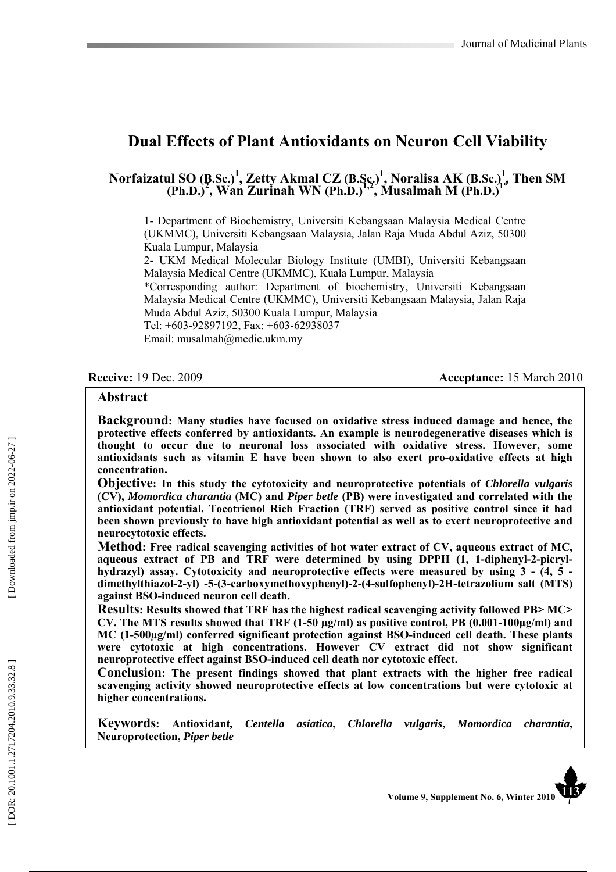# **Dual Effects of Plant Antioxidants on Neuron Cell Viability**

#### **Norfaizatul SO (B.Sc.) 1 , Zetty Akmal CZ (B.Sc.) 1 , Noralisa AK (B.Sc.) 1 , Then SM (Ph.D.) 2 , Wan Zurinah WN (Ph.D.)1,2, Musalmah M (Ph.D.) 1** \*

1- Department of Biochemistry, Universiti Kebangsaan Malaysia Medical Centre (UKMMC), Universiti Kebangsaan Malaysia, Jalan Raja Muda Abdul Aziz, 50300 Kuala Lumpur, Malaysia

2- UKM Medical Molecular Biology Institute (UMBI), Universiti Kebangsaan Malaysia Medical Centre (UKMMC), Kuala Lumpur, Malaysia

\*Corresponding author: Department of biochemistry, Universiti Kebangsaan Malaysia Medical Centre (UKMMC), Universiti Kebangsaan Malaysia, Jalan Raja Muda Abdul Aziz, 50300 Kuala Lumpur, Malaysia Tel: +603-92897192, Fax: +603-62938037

Email: musalmah@medic.ukm.my

**Receive:** 19 Dec. 2009 **Acceptance:** 15 March 2010

#### **Abstract**

**Background: Many studies have focused on oxidative stress induced damage and hence, the protective effects conferred by antioxidants. An example is neurodegenerative diseases which is thought to occur due to neuronal loss associated with oxidative stress. However, some antioxidants such as vitamin E have been shown to also exert pro-oxidative effects at high concentration.** 

**Objective: In this study the cytotoxicity and neuroprotective potentials of** *Chlorella vulgaris* **(CV),** *Momordica charantia* **(MC) and** *Piper betle* **(PB) were investigated and correlated with the antioxidant potential. Tocotrienol Rich Fraction (TRF) served as positive control since it had been shown previously to have high antioxidant potential as well as to exert neuroprotective and neurocytotoxic effects.** 

**Method: Free radical scavenging activities of hot water extract of CV, aqueous extract of MC, aqueous extract of PB and TRF were determined by using DPPH (1, 1-diphenyl-2-picrylhydrazyl) assay. Cytotoxicity and neuroprotective effects were measured by using 3 - (4, 5 dimethylthiazol-2-yl) -5-(3-carboxymethoxyphenyl)-2-(4-sulfophenyl)-2H-tetrazolium salt (MTS) against BSO-induced neuron cell death.** 

**Results: Results showed that TRF has the highest radical scavenging activity followed PB> MC> CV. The MTS results showed that TRF (1-50 µg/ml) as positive control, PB (0.001-100µg/ml) and MC (1-500µg/ml) conferred significant protection against BSO-induced cell death. These plants were cytotoxic at high concentrations. However CV extract did not show significant neuroprotective effect against BSO-induced cell death nor cytotoxic effect.** 

**Conclusion: The present findings showed that plant extracts with the higher free radical scavenging activity showed neuroprotective effects at low concentrations but were cytotoxic at higher concentrations.** 

**Keywords: Antioxidant***, Centella asiatica***,** *Chlorella vulgaris***,** *Momordica charantia***, Neuroprotection,** *Piper betle*

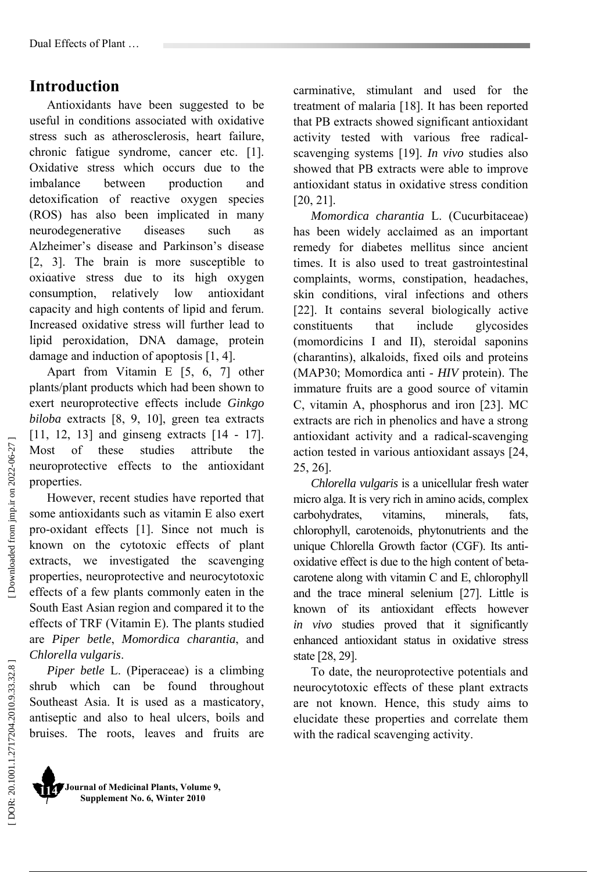# **Introduction**

Antioxidants have been suggested to be useful in conditions associated with oxidative stress such as atherosclerosis, heart failure, chronic fatigue syndrome, cancer etc. [1]. Oxidative stress which occurs due to the imbalance between production and detoxification of reactive oxygen species (ROS) has also been implicated in many neurodegenerative diseases such as Alzheimer's disease and Parkinson's disease [2, 3]. The brain is more susceptible to oxidative stress due to its high oxygen **58**  consumption, relatively low antioxidant capacity and high contents of lipid and ferum. Increased oxidative stress will further lead to lipid peroxidation, DNA damage, protein damage and induction of apoptosis [1, 4].

Apart from Vitamin E [5, 6, 7] other plants/plant products which had been shown to exert neuroprotective effects include *Ginkgo biloba* extracts [8, 9, 10], green tea extracts [11, 12, 13] and ginseng extracts [14 - 17]. Most of these studies attribute the neuroprotective effects to the antioxidant properties.

However, recent studies have reported that some antioxidants such as vitamin E also exert pro-oxidant effects [1]. Since not much is known on the cytotoxic effects of plant extracts, we investigated the scavenging properties, neuroprotective and neurocytotoxic effects of a few plants commonly eaten in the South East Asian region and compared it to the effects of TRF (Vitamin E). The plants studied are *Piper betle*, *Momordica charantia*, and *Chlorella vulgaris*.

*Piper betle* L. (Piperaceae) is a climbing shrub which can be found throughout Southeast Asia. It is used as a masticatory, antiseptic and also to heal ulcers, boils and bruises. The roots, leaves and fruits are

carminative, stimulant and used for the treatment of malaria [18]. It has been reported that PB extracts showed significant antioxidant activity tested with various free radicalscavenging systems [19]. *In vivo* studies also showed that PB extracts were able to improve antioxidant status in oxidative stress condition [20, 21].

*Momordica charantia* L. (Cucurbitaceae) has been widely acclaimed as an important remedy for diabetes mellitus since ancient times. It is also used to treat gastrointestinal complaints, worms, constipation, headaches, skin conditions, viral infections and others [22]. It contains several biologically active constituents that include glycosides (momordicins I and II), steroidal saponins (charantins), alkaloids, fixed oils and proteins (MAP30; Momordica anti - *HIV* protein). The immature fruits are a good source of vitamin C, vitamin A, phosphorus and iron [23]. MC extracts are rich in phenolics and have a strong antioxidant activity and a radical-scavenging action tested in various antioxidant assays [24, 25, 26].

*Chlorella vulgaris* is a unicellular fresh water micro alga. It is very rich in amino acids, complex carbohydrates, vitamins, minerals, fats, chlorophyll, carotenoids, phytonutrients and the unique Chlorella Growth factor (CGF). Its antioxidative effect is due to the high content of betacarotene along with vitamin C and E, chlorophyll and the trace mineral selenium [27]. Little is known of its antioxidant effects however *in vivo* studies proved that it significantly enhanced antioxidant status in oxidative stress state [28, 29].

To date, the neuroprotective potentials and neurocytotoxic effects of these plant extracts are not known. Hence, this study aims to elucidate these properties and correlate them with the radical scavenging activity.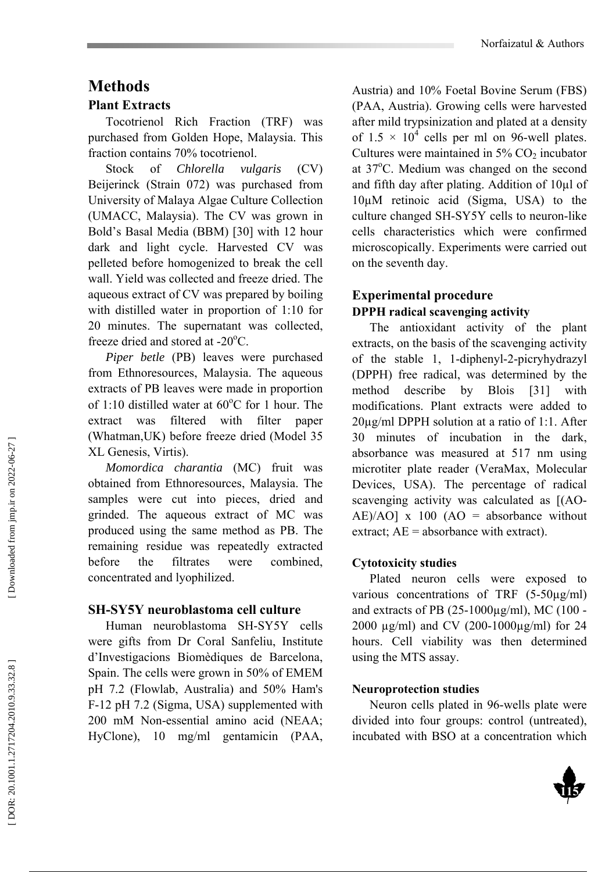# **Methods**

#### **Plant Extracts**

Tocotrienol Rich Fraction (TRF) was purchased from Golden Hope, Malaysia. This fraction contains 70% tocotrienol.

Stock of *Chlorella vulgaris* (CV) Beijerinck (Strain 072) was purchased from University of Malaya Algae Culture Collection (UMACC, Malaysia). The CV was grown in Bold's Basal Media (BBM) [30] with 12 hour dark and light cycle. Harvested CV was pelleted before homogenized to break the cell wall. Yield was collected and freeze dried. The aqueous extract of CV was prepared by boiling with distilled water in proportion of 1:10 for 20 minutes. The supernatant was collected, freeze dried and stored at -20°C.

*Piper betle* (PB) leaves were purchased from Ethnoresources, Malaysia. The aqueous extracts of PB leaves were made in proportion of 1:10 distilled water at  $60^{\circ}$ C for 1 hour. The extract was filtered with filter paper (Whatman,UK) before freeze dried (Model 35 XL Genesis, Virtis).

*Momordica charantia* (MC) fruit was obtained from Ethnoresources, Malaysia. The samples were cut into pieces, dried and grinded. The aqueous extract of MC was produced using the same method as PB. The remaining residue was repeatedly extracted before the filtrates were combined, concentrated and lyophilized.

#### **SH-SY5Y neuroblastoma cell culture**

Human neuroblastoma SH-SY5Y cells were gifts from Dr Coral Sanfeliu, Institute d'Investigacions Biomèdiques de Barcelona, Spain. The cells were grown in 50% of EMEM pH 7.2 (Flowlab, Australia) and 50% Ham's F-12 pH 7.2 (Sigma, USA) supplemented with 200 mM Non-essential amino acid (NEAA; HyClone), 10 mg/ml gentamicin (PAA,

Austria) and 10% Foetal Bovine Serum (FBS) (PAA, Austria). Growing cells were harvested after mild trypsinization and plated at a density of  $1.5 \times 10^4$  cells per ml on 96-well plates. Cultures were maintained in  $5\%$  CO<sub>2</sub> incubator at 37°C. Medium was changed on the second and fifth day after plating. Addition of 10µl of 10µM retinoic acid (Sigma, USA) to the culture changed SH-SY5Y cells to neuron-like cells characteristics which were confirmed microscopically. Experiments were carried out on the seventh day.

#### **Experimental procedure DPPH radical scavenging activity**

The antioxidant activity of the plant extracts, on the basis of the scavenging activity of the stable 1, 1-diphenyl-2-picryhydrazyl (DPPH) free radical, was determined by the method describe by Blois [31] with modifications. Plant extracts were added to 20µg/ml DPPH solution at a ratio of 1:1. After 30 minutes of incubation in the dark, absorbance was measured at 517 nm using microtiter plate reader (VeraMax, Molecular Devices, USA). The percentage of radical scavenging activity was calculated as [(AO- $AE)/AO$ ] x 100 (AO = absorbance without extract;  $AE =$  absorbance with extract).

#### **Cytotoxicity studies**

Plated neuron cells were exposed to various concentrations of TRF (5-50µg/ml) and extracts of PB (25-1000µg/ml), MC (100 - 2000 µg/ml) and CV (200-1000µg/ml) for 24 hours. Cell viability was then determined using the MTS assay.

#### **Neuroprotection studies**

Neuron cells plated in 96-wells plate were divided into four groups: control (untreated), incubated with BSO at a concentration which

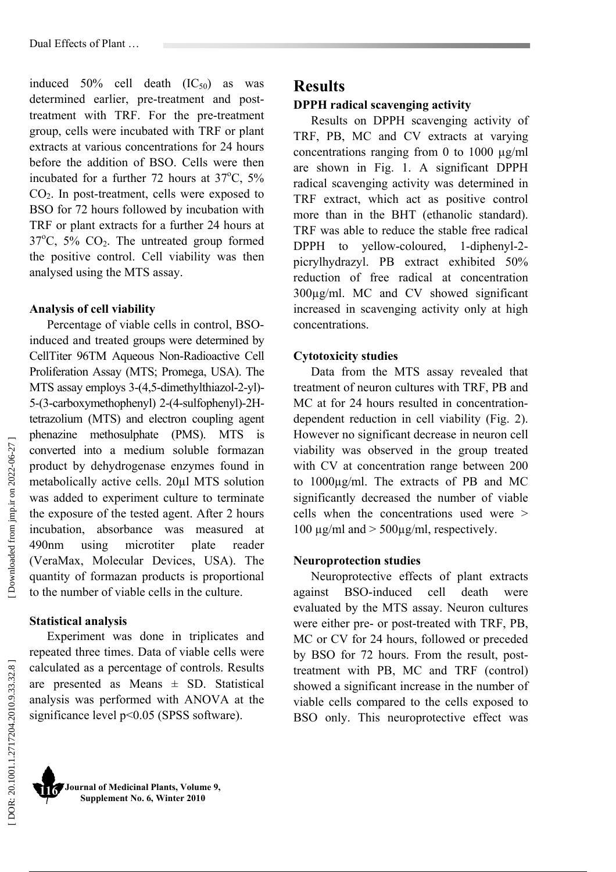induced  $50\%$  cell death  $(IC_{50})$  as was determined earlier, pre-treatment and posttreatment with TRF. For the pre-treatment group, cells were incubated with TRF or plant extracts at various concentrations for 24 hours before the addition of BSO. Cells were then incubated for a further 72 hours at  $37^{\circ}$ C,  $5\%$ CO 2. In post-treatment, cells were exposed to BSO for 72 hours followed by incubation with TRF or plant extracts for a further 24 hours at  $37^{\circ}$ C,  $5\%$  CO<sub>2</sub>. The untreated group formed the positive control. Cell viability was then analysed using the MTS assay.

#### **Analysis of cell viability**

Percentage of viable cells in control, BSOinduced and treated groups were determined by CellTiter 96TM Aqueous Non-Radioactive Cell Proliferation Assay (MTS; Promega, USA). The MTS assay employs 3-(4,5-dimethylthiazol-2-yl)- 5-(3-carboxymethophenyl) 2-(4-sulfophenyl)-2Htetrazolium (MTS) and electron coupling agent phenazine methosulphate (PMS). MTS is converted into a medium soluble formazan product by dehydrogenase enzymes found in metabolically active cells. 20µl MTS solution was added to experiment culture to terminate the exposure of the tested agent. After 2 hours incubation, absorbance was measured at 490nm using microtiter plate reader (VeraMax, Molecular Devices, USA). The quantity of formazan products is proportional to the number of viable cells in the culture.

#### **Statistical analysis**

Experiment was done in triplicates and repeated three times. Data of viable cells were calculated as a percentage of controls. Results are presented as Means  $\pm$  SD. Statistical analysis was performed with ANOVA at the significance level p<0.05 (SPSS software).

# **Results**

#### **DPPH radical scavenging activity**

Results on DPPH scavenging activity of TRF, PB, MC and CV extracts at varying concentrations ranging from 0 to 1000  $\mu$ g/ml are shown in Fig. 1. A significant DPPH radical scavenging activity was determined in TRF extract, which act as positive control more than in the BHT (ethanolic standard). TRF was able to reduce the stable free radical DPPH to yellow-coloured, 1-diphenyl-2 picrylhydrazyl. PB extract exhibited 50% reduction of free radical at concentration 300µg/ml. MC and CV showed significant increased in scavenging activity only at high concentrations.

#### **Cytotoxicity studies**

Data from the MTS assay revealed that treatment of neuron cultures with TRF, PB and MC at for 24 hours resulted in concentrationdependent reduction in cell viability (Fig. 2). However no significant decrease in neuron cell viability was observed in the group treated with CV at concentration range between 200 to 1000µg/ml. The extracts of PB and MC significantly decreased the number of viable cells when the concentrations used were > 100  $\mu$ g/ml and  $>$  500 $\mu$ g/ml, respectively.

#### **Neuroprotection studies**

Neuroprotective effects of plant extracts against BSO-induced cell death were evaluated by the MTS assay. Neuron cultures were either pre- or post-treated with TRF, PB, MC or CV for 24 hours, followed or preceded by BSO for 72 hours. From the result, posttreatment with PB, MC and TRF (control) showed a significant increase in the number of viable cells compared to the cells exposed to BSO only. This neuroprotective effect was

Downloaded from jmp.ir on 2022-06-27]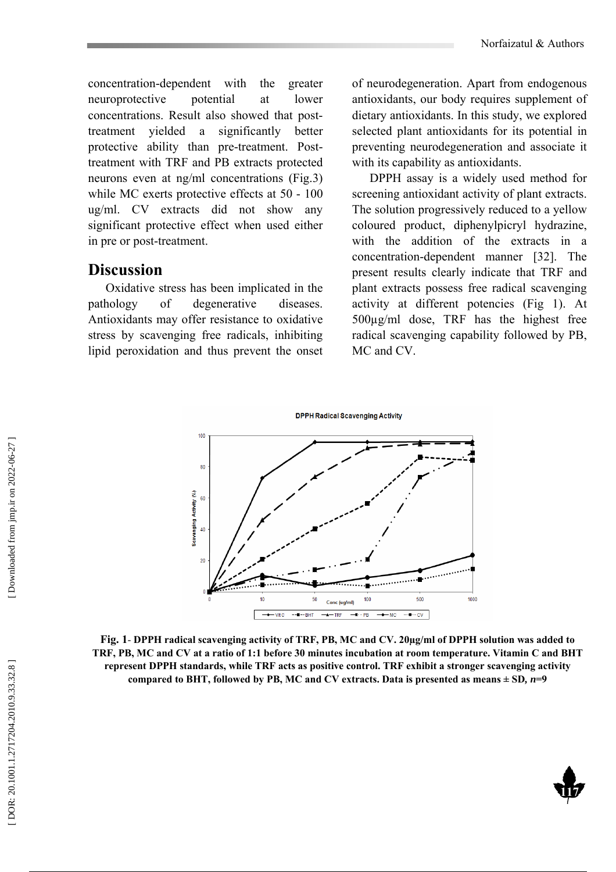concentration-dependent with the greater neuroprotective potential at lower concentrations. Result also showed that posttreatment yielded a significantly better protective ability than pre-treatment. Posttreatment with TRF and PB extracts protected neurons even at ng/ml concentrations (Fig.3) while MC exerts protective effects at 50 - 100 ug/ml. CV extracts did not show any significant protective effect when used either in pre or post-treatment.

#### **Discussion**

Oxidative stress has been implicated in the pathology of degenerative diseases. Antioxidants may offer resistance to oxidative stress by scavenging free radicals, inhibiting lipid peroxidation and thus prevent the onset

of neurodegeneration. Apart from endogenous antioxidants, our body requires supplement of dietary antioxidants. In this study, we explored selected plant antioxidants for its potential in preventing neurodegeneration and associate it with its capability as antioxidants.

DPPH assay is a widely used method for screening antioxidant activity of plant extracts. The solution progressively reduced to a yellow coloured product, diphenylpicryl hydrazine, with the addition of the extracts in a concentration-dependent manner [32]. The present results clearly indicate that TRF and plant extracts possess free radical scavenging activity at different potencies (Fig 1). At 500µg/ml dose, TRF has the highest free radical scavenging capability followed by PB, MC and CV.



**Fig. 1**- **DPPH radical scavenging activity of TRF, PB, MC and CV. 20µg/ml of DPPH solution was added to TRF, PB, MC and CV at a ratio of 1:1 before 30 minutes incubation at room temperature. Vitamin C and BHT represent DPPH standards, while TRF acts as positive control. TRF exhibit a stronger scavenging activity compared to BHT, followed by PB, MC and CV extracts. Data is presented as means ± SD***, n***=9**

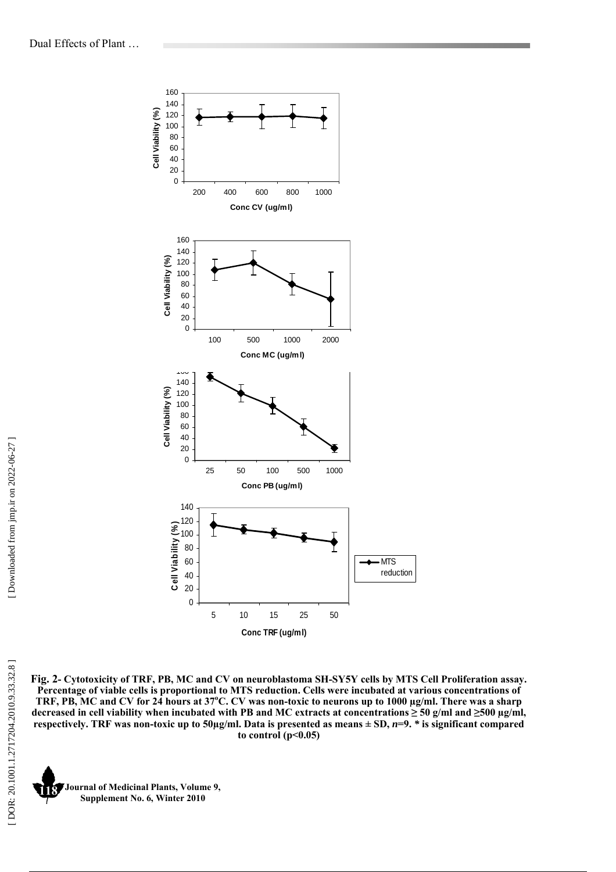

**Fig. 2- Cytotoxicity of TRF, PB, MC and CV on neuroblastoma SH-SY5Y cells by MTS Cell Proliferation assay. Percentage of viable cells is proportional to MTS reduction. Cells were incubated at various concentrations of**  TRF, PB, MC and CV for 24 hours at 37°C. CV was non-toxic to neurons up to 1000 µg/ml. There was a sharp decreased in cell viability when incubated with PB and MC extracts at concentrations  $\geq$  50 g/ml and  $\geq$ 500  $\mu$ g/ml, **respectively. TRF was non-toxic up to 50µg/ml. Data is presented as means ± SD,**  *n***=9.** *\** **is significant compared to control (p<0.05)**

**Journal of Medicinal Plants, Volume 9, Supplement No. 6, Winter 2010 118**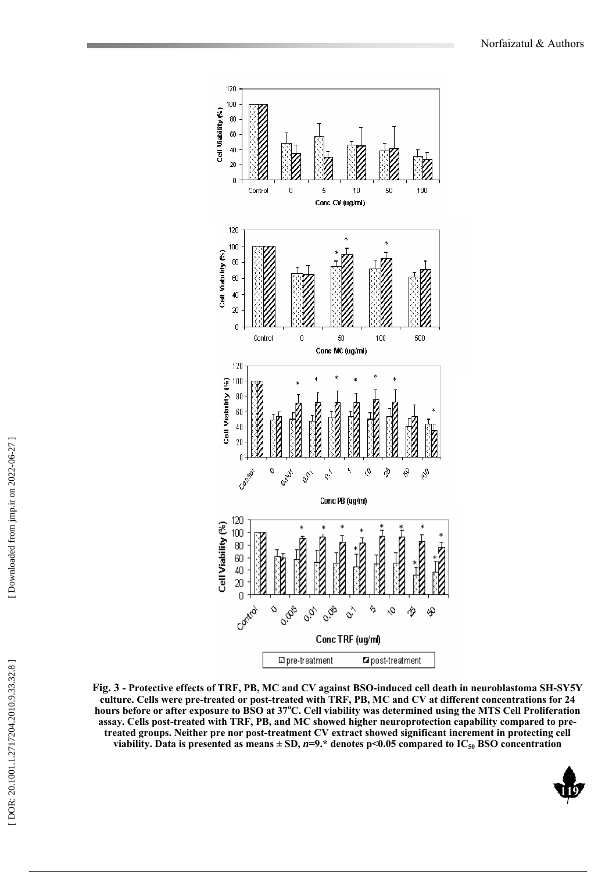

**Fig. 3 - Protective effects of TRF, PB, MC and CV against BSO-induced cell death in neuroblastoma SH-SY5Y culture. Cells were pre-treated or post-treated with TRF, PB, MC and CV at different concentrations for 24**  hours before or after exposure to BSO at 37°C. Cell viability was determined using the MTS Cell Proliferation **assay. Cells post-treated with TRF, PB, and MC showed higher neuroprotection capability compared to pretreated groups. Neither pre nor post-treatment CV extract showed significant increment in protecting cell viability. Data is presented as means ± SD,**  *n***=9.\* denotes p<0.05 compared to IC50 BSO concentration**

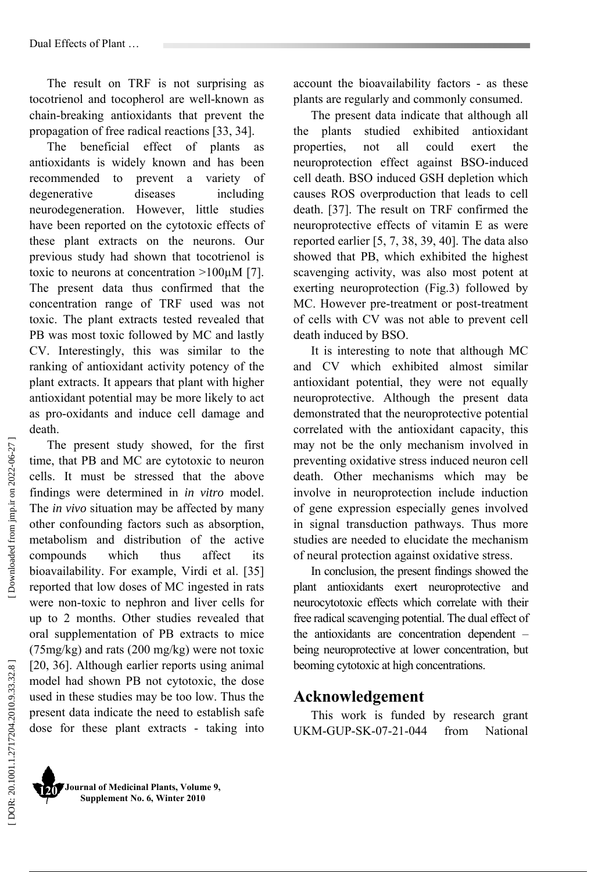Dual Effects of Plant …

The result on TRF is not surprising as tocotrienol and tocopherol are well-known as chain-breaking antioxidants that prevent the propagation of free radical reactions [33, 34].

The beneficial effect of plants as antioxidants is widely known and has been recommended to prevent a variety of degenerative diseases including neurodegeneration. However, little studies have been reported on the cytotoxic effects of these plant extracts on the neurons. Our previous study had shown that tocotrienol is toxic to neurons at concentration >100µM [7]. The present data thus confirmed that the concentration range of TRF used was not toxic. The plant extracts tested revealed that PB was most toxic followed by MC and lastly CV. Interestingly, this was similar to the ranking of antioxidant activity potency of the plant extracts. It appears that plant with higher antioxidant potential may be more likely to act as pro-oxidants and induce cell damage and death.

The present study showed, for the first time, that PB and MC are cytotoxic to neuron cells. It must be stressed that the above findings were determined in *in vitro* model. The *in vivo* situation may be affected by many other confounding factors such as absorption, metabolism and distribution of the active compounds which thus affect its bioavailability. For example, Virdi et al. [35] reported that low doses of MC ingested in rats were non-toxic to nephron and liver cells for up to 2 months. Other studies revealed that oral supplementation of PB extracts to mice (75mg/kg) and rats (200 mg/kg) were not toxic [20, 36]. Although earlier reports using animal model had shown PB not cytotoxic, the dose used in these studies may be too low. Thus the present data indicate the need to establish safe dose for these plant extracts - taking into

account the bioavailability factors - as these plants are regularly and commonly consumed.

The present data indicate that although all the plants studied exhibited antioxidant properties, not all could exert the neuroprotection effect against BSO-induced cell death. BSO induced GSH depletion which causes ROS overproduction that leads to cell death. [37]. The result on TRF confirmed the neuroprotective effects of vitamin E as were reported earlier [5, 7, 38, 39, 40]. The data also showed that PB, which exhibited the highest scavenging activity, was also most potent at exerting neuroprotection (Fig.3) followed by MC. However pre-treatment or post-treatment of cells with CV was not able to prevent cell death induced by BSO.

It is interesting to note that although MC and CV which exhibited almost similar antioxidant potential, they were not equally neuroprotective. Although the present data demonstrated that the neuroprotective potential correlated with the antioxidant capacity, this may not be the only mechanism involved in preventing oxidative stress induced neuron cell death. Other mechanisms which may be involve in neuroprotection include induction of gene expression especially genes involved in signal transduction pathways. Thus more studies are needed to elucidate the mechanism of neural protection against oxidative stress.

In conclusion, the present findings showed the plant antioxidants exert neuroprotective and neurocytotoxic effects which correlate with their free radical scavenging potential. The dual effect of the antioxidants are concentration dependent – being neuroprotective at lower concentration, but beoming cytotoxic at high concentrations.

### **Acknowledgement**

This work is funded by research grant UKM-GUP-SK-07-21-044 from National

Downloaded from jmp.ir on 2022-06-27 ]

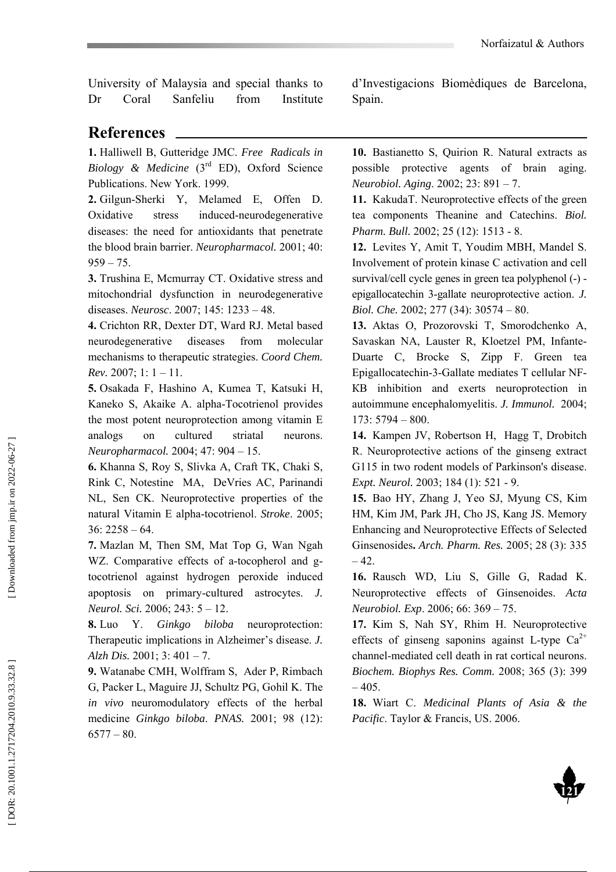University of Malaysia and special thanks to Dr Coral Sanfeliu from Institute d'Investigacions Biomèdiques de Barcelona, Spain.

## **References**

**1.** Halliwell B, Gutteridge JMC. *Free Radicals in Biology & Medicine* (3rd ED), Oxford Science Publications. New York. 1999.

**2.** Gilgun-Sherki Y, Melamed E, Offen D. Oxidative stress induced-neurodegenerative diseases: the need for antioxidants that penetrate the blood brain barrier. *Neuropharmacol.* 2001; 40:  $959 - 75.$ 

**3.** Trushina E, Mcmurray CT. Oxidative stress and mitochondrial dysfunction in neurodegenerative diseases. *Neurosc*. 2007; 145: 1233 – 48.

**4.** Crichton RR, Dexter DT, Ward RJ. Metal based neurodegenerative diseases from molecular mechanisms to therapeutic strategies. *Coord Chem. Rev.* 2007; 1: 1 – 11.

**5.** Osakada F, Hashino A, Kumea T, Katsuki H, Kaneko S, Akaike A. alpha-Tocotrienol provides the most potent neuroprotection among vitamin E analogs on cultured striatal neurons. *Neuropharmacol.* 2004; 47: 904 – 15.

**6.** Khanna S, Roy S, Slivka A, Craft TK, Chaki S, Rink C, Notestine MA, DeVries AC, Parinandi NL, Sen CK. Neuroprotective properties of the natural Vitamin E alpha-tocotrienol. *Stroke*. 2005;  $36: 2258 - 64.$ 

**7.** Mazlan M, Then SM, Mat Top G, Wan Ngah WZ. Comparative effects of a-tocopherol and gtocotrienol against hydrogen peroxide induced apoptosis on primary-cultured astrocytes. *J. Neurol. Sci.* 2006; 243: 5 – 12.

**8.** Luo Y. *Ginkgo biloba* neuroprotection: Therapeutic implications in Alzheimer's disease. *J. Alzh Dis.* 2001; 3: 401 – 7.

**9.** Watanabe CMH, Wolffram S, Ader P, Rimbach G, Packer L, Maguire JJ, Schultz PG, Gohil K. The *in vivo* neuromodulatory effects of the herbal medicine *Ginkgo biloba*. *PNAS.* 2001; 98 (12):  $6577 - 80.$ 

**10.** Bastianetto S, Quirion R. Natural extracts as possible protective agents of brain aging. *Neurobiol. Aging*. 2002; 23: 891 – 7.

**11.** KakudaT. Neuroprotective effects of the green tea components Theanine and Catechins. *Biol. Pharm. Bull.* 2002; 25 (12): 1513 - 8.

**12.** Levites Y, Amit T, Youdim MBH, Mandel S. Involvement of protein kinase C activation and cell survival/cell cycle genes in green tea polyphenol (-) epigallocatechin 3-gallate neuroprotective action. *J. Biol. Che.* 2002; 277 (34): 30574 – 80.

**13.** Aktas O, Prozorovski T, Smorodchenko A, Savaskan NA, Lauster R, Kloetzel PM, Infante-Duarte C, Brocke S, Zipp F. Green tea Epigallocatechin-3-Gallate mediates T cellular NF- КB inhibition and exerts neuroprotection in autoimmune encephalomyelitis. *J. Immunol.* 2004; 173: 5794 – 800.

**14.** Kampen JV, Robertson H, Hagg T, Drobitch R. Neuroprotective actions of the ginseng extract G115 in two rodent models of Parkinson's disease. *Expt. Neurol.* 2003; 184 (1): 521 - 9.

**15.** Bao HY, Zhang J, Yeo SJ, Myung CS, Kim HM, Kim JM, Park JH, Cho JS, Kang JS. Memory Enhancing and Neuroprotective Effects of Selected Ginsenosides **.** *Arch. Pharm. Res.* 2005; 28 (3): 335  $-42.$ 

**16.** Rausch WD, Liu S, Gille G, Radad K. Neuroprotective effects of Ginsenoides. *Acta Neurobiol. Exp*. 2006; 66: 369 – 75.

**17.** Kim S, Nah SY, Rhim H. Neuroprotective effects of ginseng saponins against L-type  $Ca^{2+}$ channel-mediated cell death in rat cortical neurons. *Biochem. Biophys Res. Comm.* 2008; 365 (3): 399  $-405.$ 

**18.** Wiart C. *Medicinal Plants of Asia & the Pacific*. Taylor & Francis, US. 2006.

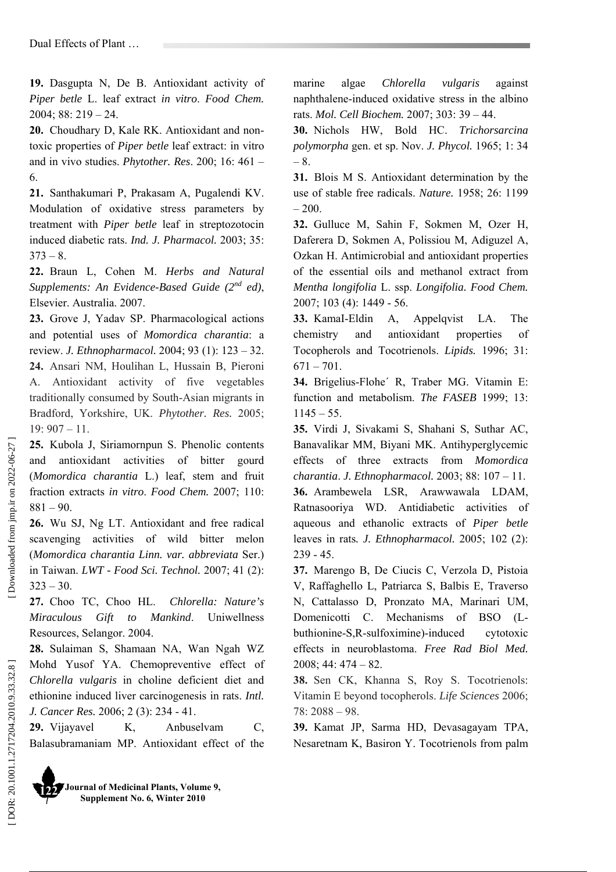**19.** Dasgupta N, De B. Antioxidant activity of *Piper betle* L. leaf extract *in vitro*. *Food Chem.*  2004; 88: 219 – 24.

**20.** Choudhary D, Kale RK. Antioxidant and nontoxic properties of *Piper betle* leaf extract: in vitro and in vivo studies. *Phytother. Res*. 200; 16: 461 – 6.

**21.** Santhakumari P, Prakasam A, Pugalendi KV. Modulation of oxidative stress parameters by treatment with *Piper betle* leaf in streptozotocin induced diabetic rats. *Ind. J. Pharmacol.* 2003; 35:  $373 - 8.$ 

**22.** Braun L, Cohen M. *Herbs and Natural Supplements: An Evidence-Based Guide (2nd ed)*, Elsevier. Australia. 2007.

**23.** Grove J, Yadav SP. Pharmacological actions and potential uses of *Momordica charantia*: a review. *J. Ethnopharmacol.* 2004; 93 (1): 123 – 32. **24.** Ansari NM, Houlihan L, Hussain B, Pieroni A. Antioxidant activity of five vegetables traditionally consumed by South-Asian migrants in Bradford, Yorkshire, UK. *Phytother. Res.* 2005; 19: 907 – 11.

**25.** Kubola J, Siriamornpun S. Phenolic contents and antioxidant activities of bitter gourd (*Momordica charantia* L.) leaf, stem and fruit fraction extracts *in vitro*. *Food Chem.* 2007; 110:  $881 - 90$ 

**26.** Wu SJ, Ng LT. Antioxidant and free radical scavenging activities of wild bitter melon (*Momordica charantia Linn. var. abbreviata* Ser.) in Taiwan. *LWT - Food Sci. Technol.* 2007; 41 (2):  $323 - 30.$ 

**27.** Choo TC, Choo HL. *Chlorella: Nature's Miraculous Gift to Mankind*. Uniwellness Resources, Selangor. 2004.

**28.** Sulaiman S, Shamaan NA, Wan Ngah WZ Mohd Yusof YA. Chemopreventive effect of *Chlorella vulgaris* in choline deficient diet and ethionine induced liver carcinogenesis in rats. *Intl. J. Cancer Res.* 2006; 2 (3): 234 - 41.

**29.** Vijayavel K, Anbuselvam C, Balasubramaniam MP. Antioxidant effect of the

**Journal of Medicinal Plants, Volume 9, Supplement No. 6, Winter 2010 122** 

marine algae *Chlorella vulgaris* against naphthalene-induced oxidative stress in the albino rats. *Mol. Cell Biochem.* 2007; 303: 39 – 44.

**30.** Nichols HW, Bold HC. *Trichorsarcina polymorpha* gen. et sp. Nov. *J. Phycol.* 1965; 1: 34 – 8.

**31.** Blois M S. Antioxidant determination by the use of stable free radicals. *Nature.* 1958; 26: 1199  $-200.$ 

**32.** Gulluce M, Sahin F, Sokmen M, Ozer H, Daferera D, Sokmen A, Polissiou M, Adiguzel A, Ozkan H. Antimicrobial and antioxidant properties of the essential oils and methanol extract from *Mentha longifolia* L. ssp. *Longifolia. Food Chem.*  2007; 103 (4): 1449 - 56.

**33.** KamaI-Eldin A, Appelqvist LA. The chemistry and antioxidant properties of Tocopherols and Tocotrienols. *Lipids.* 1996; 31:  $671 - 701$ .

**34.** Brigelius-Flohe´ R, Traber MG. Vitamin E: function and metabolism. *The FASEB* 1999; 13:  $1145 - 55$ .

**35.** Virdi J, Sivakami S, Shahani S, Suthar AC, Banavalikar MM, Biyani MK. Antihyperglycemic effects of three extracts from *Momordica charantia*. *J. Ethnopharmacol.* 2003; 88: 107 – 11. **36.** Arambewela LSR, Arawwawala LDAM, Ratnasooriya WD. Antidiabetic activities of aqueous and ethanolic extracts of *Piper betle* leaves in rats*. J. Ethnopharmacol.* 2005; 102 (2): 239 - 45.

**37.** Marengo B, De Ciucis C, Verzola D, Pistoia V, Raffaghello L, Patriarca S, Balbis E, Traverso N, Cattalasso D, Pronzato MA, Marinari UM, Domenicotti C. Mechanisms of BSO (Lbuthionine-S,R-sulfoximine)-induced cytotoxic effects in neuroblastoma. *Free Rad Biol Med.*  $2008: 44: 474 - 82.$ 

**38.** Sen CK, Khanna S, Roy S. Tocotrienols: Vitamin E beyond tocopherols. *Life Sciences* 2006; 78: 2088 – 98.

**39.** Kamat JP, Sarma HD, Devasagayam TPA, Nesaretnam K, Basiron Y. Tocotrienols from palm

Downloaded from jmp.ir on 2022-06-27